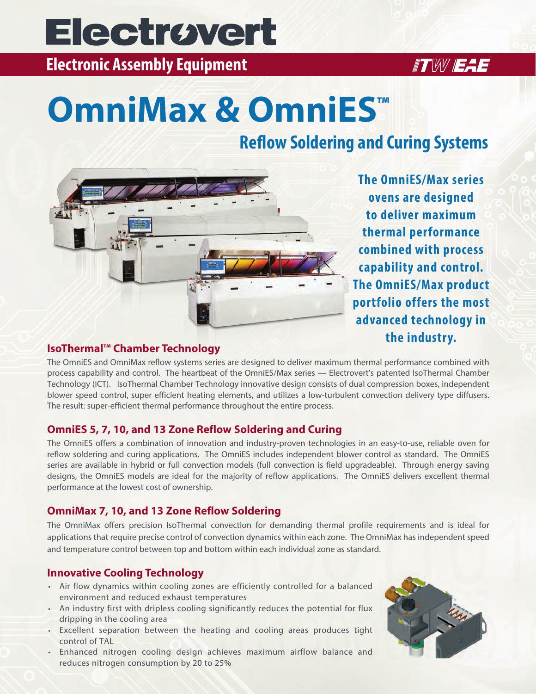# **Electrovert**

**Electronic Assembly Equipment** 

### **ITW EAE**

# **OmniMax & OmniES™**

### **Reflow Soldering and Curing Systems**



**The OmniES/Max series ovens are designed to deliver maximum thermal performance combined with process capability and control. The OmniES/Max product portfolio offers the most advanced technology in the industry.** 

#### **IsoThermal™ Chamber Technology**

The OmniES and OmniMax reflow systems series are designed to deliver maximum thermal performance combined with process capability and control. The heartbeat of the OmniES/Max series — Electrovert's patented IsoThermal Chamber Technology (ICT). IsoThermal Chamber Technology innovative design consists of dual compression boxes, independent blower speed control, super efficient heating elements, and utilizes a low-turbulent convection delivery type diffusers. The result: super-efficient thermal performance throughout the entire process.

#### **OmniES 5, 7, 10, and 13 Zone Reflow Soldering and Curing**

The OmniES offers a combination of innovation and industry-proven technologies in an easy-to-use, reliable oven for reflow soldering and curing applications. The OmniES includes independent blower control as standard. The OmniES series are available in hybrid or full convection models (full convection is field upgradeable). Through energy saving designs, the OmniES models are ideal for the majority of reflow applications. The OmniES delivers excellent thermal performance at the lowest cost of ownership.

#### **OmniMax 7, 10, and 13 Zone Reflow Soldering**

The OmniMax offers precision IsoThermal convection for demanding thermal profile requirements and is ideal for applications that require precise control of convection dynamics within each zone. The OmniMax has independent speed and temperature control between top and bottom within each individual zone as standard.

#### **Innovative Cooling Technology**

- Air flow dynamics within cooling zones are efficiently controlled for a balanced environment and reduced exhaust temperatures
- An industry first with dripless cooling significantly reduces the potential for flux dripping in the cooling area
- Excellent separation between the heating and cooling areas produces tight control of TAL
- Enhanced nitrogen cooling design achieves maximum airflow balance and reduces nitrogen consumption by 20 to 25%